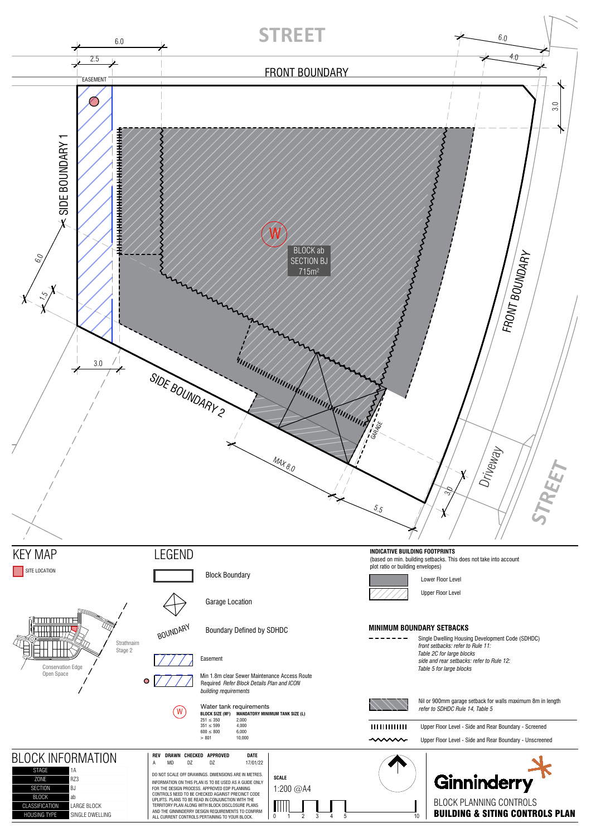